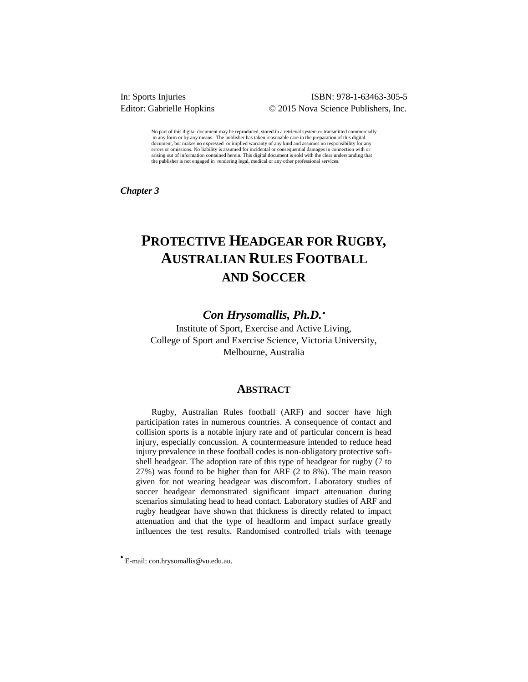#### ISBN: 978-1-63463-305-5 Editor: Gabrielle Hopkins © 2015 Nova Science Publishers, Inc.

No part of this digital document may be reproduced, stored in a retrieval system or transmitted commercially in any form or by any means. The publisher has taken reasonable care in the preparation of this digital document, but makes no expressed or implied warranty of any kind and assumes no responsibility for any errors or omissions. No liability is assumed for incidental or consequential damages in connection with or arising out of information contained herein. This digital document is sold with the clear understanding that the publisher is not engaged in rendering legal, medical or any other professional services.

*Chapter 3* 

# **PROTECTIVE HEADGEAR FOR RUGBY, AUSTRALIAN RULES FOOTBALL AND SOCCER**

## *Con Hrysomallis, Ph.D.*

Institute of Sport, Exercise and Active Living, College of Sport and Exercise Science, Victoria University, Melbourne, Australia

#### **ABSTRACT**

Rugby, Australian Rules football (ARF) and soccer have high participation rates in numerous countries. A consequence of contact and collision sports is a notable injury rate and of particular concern is head injury, especially concussion. A countermeasure intended to reduce head injury prevalence in these football codes is non-obligatory protective softshell headgear. The adoption rate of this type of headgear for rugby (7 to 27%) was found to be higher than for ARF (2 to 8%). The main reason given for not wearing headgear was discomfort. Laboratory studies of soccer headgear demonstrated significant impact attenuation during scenarios simulating head to head contact. Laboratory studies of ARF and rugby headgear have shown that thickness is directly related to impact attenuation and that the type of headform and impact surface greatly influences the test results. Randomised controlled trials with teenage

 $\overline{a}$ 

 E-mail: con.hrysomallis@vu.edu.au.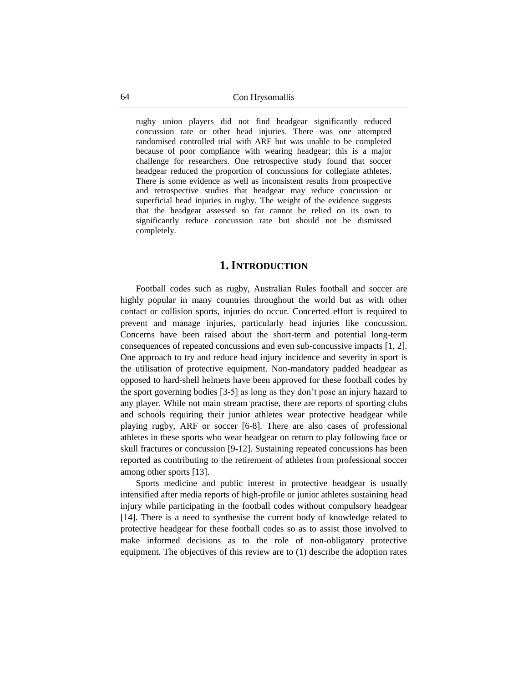rugby union players did not find headgear significantly reduced concussion rate or other head injuries. There was one attempted randomised controlled trial with ARF but was unable to be completed because of poor compliance with wearing headgear; this is a major challenge for researchers. One retrospective study found that soccer headgear reduced the proportion of concussions for collegiate athletes. There is some evidence as well as inconsistent results from prospective and retrospective studies that headgear may reduce concussion or superficial head injuries in rugby. The weight of the evidence suggests that the headgear assessed so far cannot be relied on its own to significantly reduce concussion rate but should not be dismissed completely.

#### **1.INTRODUCTION**

Football codes such as rugby, Australian Rules football and soccer are highly popular in many countries throughout the world but as with other contact or collision sports, injuries do occur. Concerted effort is required to prevent and manage injuries, particularly head injuries like concussion. Concerns have been raised about the short-term and potential long-term consequences of repeated concussions and even sub-concussive impacts [1, 2]. One approach to try and reduce head injury incidence and severity in sport is the utilisation of protective equipment. Non-mandatory padded headgear as opposed to hard-shell helmets have been approved for these football codes by the sport governing bodies [3-5] as long as they don't pose an injury hazard to any player. While not main stream practise, there are reports of sporting clubs and schools requiring their junior athletes wear protective headgear while playing rugby, ARF or soccer [6-8]. There are also cases of professional athletes in these sports who wear headgear on return to play following face or skull fractures or concussion [9-12]. Sustaining repeated concussions has been reported as contributing to the retirement of athletes from professional soccer among other sports [13].

Sports medicine and public interest in protective headgear is usually intensified after media reports of high-profile or junior athletes sustaining head injury while participating in the football codes without compulsory headgear [14]. There is a need to synthesise the current body of knowledge related to protective headgear for these football codes so as to assist those involved to make informed decisions as to the role of non-obligatory protective equipment. The objectives of this review are to (1) describe the adoption rates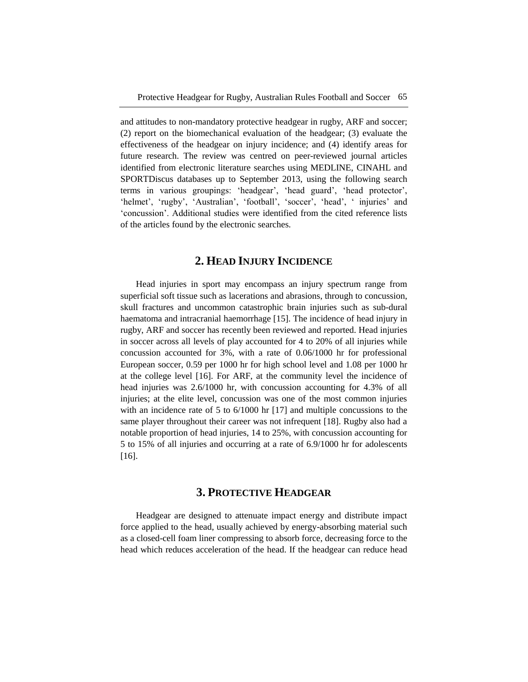and attitudes to non-mandatory protective headgear in rugby, ARF and soccer; (2) report on the biomechanical evaluation of the headgear; (3) evaluate the effectiveness of the headgear on injury incidence; and (4) identify areas for future research. The review was centred on peer-reviewed journal articles identified from electronic literature searches using MEDLINE, CINAHL and SPORTDiscus databases up to September 2013, using the following search terms in various groupings: ‗headgear', ‗head guard', ‗head protector', 'helmet', 'rugby', 'Australian', 'football', 'soccer', 'head', ' injuries' and ‗concussion'. Additional studies were identified from the cited reference lists of the articles found by the electronic searches.

## **2. HEAD INJURY INCIDENCE**

Head injuries in sport may encompass an injury spectrum range from superficial soft tissue such as lacerations and abrasions, through to concussion, skull fractures and uncommon catastrophic brain injuries such as sub-dural haematoma and intracranial haemorrhage [15]. The incidence of head injury in rugby, ARF and soccer has recently been reviewed and reported. Head injuries in soccer across all levels of play accounted for 4 to 20% of all injuries while concussion accounted for 3%, with a rate of 0.06/1000 hr for professional European soccer, 0.59 per 1000 hr for high school level and 1.08 per 1000 hr at the college level [16]. For ARF, at the community level the incidence of head injuries was 2.6/1000 hr, with concussion accounting for 4.3% of all injuries; at the elite level, concussion was one of the most common injuries with an incidence rate of 5 to 6/1000 hr [17] and multiple concussions to the same player throughout their career was not infrequent [18]. Rugby also had a notable proportion of head injuries, 14 to 25%, with concussion accounting for 5 to 15% of all injuries and occurring at a rate of 6.9/1000 hr for adolescents [16].

## **3. PROTECTIVE HEADGEAR**

Headgear are designed to attenuate impact energy and distribute impact force applied to the head, usually achieved by energy-absorbing material such as a closed-cell foam liner compressing to absorb force, decreasing force to the head which reduces acceleration of the head. If the headgear can reduce head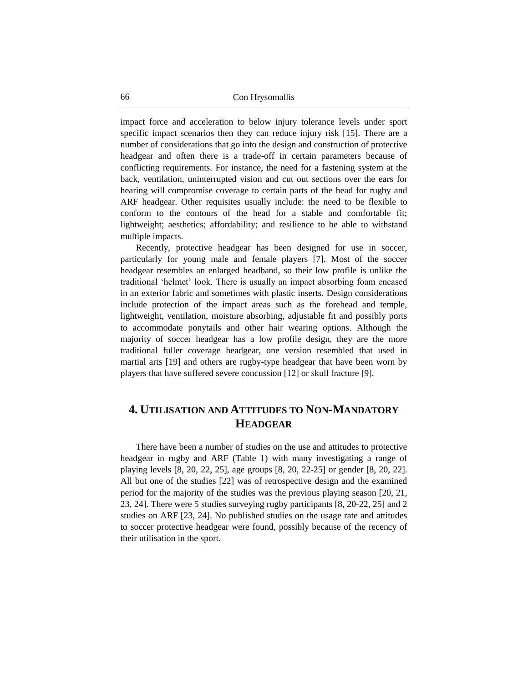impact force and acceleration to below injury tolerance levels under sport specific impact scenarios then they can reduce injury risk [15]. There are a number of considerations that go into the design and construction of protective headgear and often there is a trade-off in certain parameters because of conflicting requirements. For instance, the need for a fastening system at the back, ventilation, uninterrupted vision and cut out sections over the ears for hearing will compromise coverage to certain parts of the head for rugby and ARF headgear. Other requisites usually include: the need to be flexible to conform to the contours of the head for a stable and comfortable fit; lightweight; aesthetics; affordability; and resilience to be able to withstand multiple impacts.

Recently, protective headgear has been designed for use in soccer, particularly for young male and female players [7]. Most of the soccer headgear resembles an enlarged headband, so their low profile is unlike the traditional ‗helmet' look. There is usually an impact absorbing foam encased in an exterior fabric and sometimes with plastic inserts. Design considerations include protection of the impact areas such as the forehead and temple, lightweight, ventilation, moisture absorbing, adjustable fit and possibly ports to accommodate ponytails and other hair wearing options. Although the majority of soccer headgear has a low profile design, they are the more traditional fuller coverage headgear, one version resembled that used in martial arts [19] and others are rugby-type headgear that have been worn by players that have suffered severe concussion [12] or skull fracture [9].

## **4. UTILISATION AND ATTITUDES TO NON-MANDATORY HEADGEAR**

There have been a number of studies on the use and attitudes to protective headgear in rugby and ARF (Table 1) with many investigating a range of playing levels [8, 20, 22, 25], age groups [8, 20, 22-25] or gender [8, 20, 22]. All but one of the studies [22] was of retrospective design and the examined period for the majority of the studies was the previous playing season [20, 21, 23, 24]. There were 5 studies surveying rugby participants [8, 20-22, 25] and 2 studies on ARF [23, 24]. No published studies on the usage rate and attitudes to soccer protective headgear were found, possibly because of the recency of their utilisation in the sport.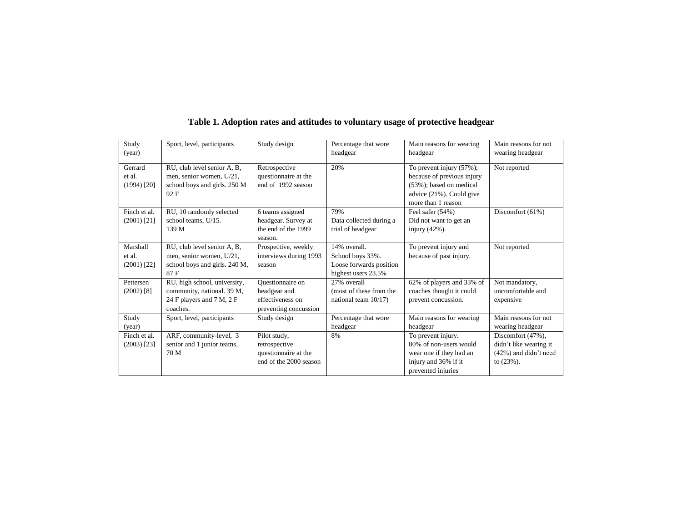| Study<br>(year)                     | Sport, level, participants                                                                          | Study design                                                                    | Percentage that wore<br>headgear                                                   | Main reasons for wearing<br>headgear                                                                                                    | Main reasons for not<br>wearing headgear                                                |
|-------------------------------------|-----------------------------------------------------------------------------------------------------|---------------------------------------------------------------------------------|------------------------------------------------------------------------------------|-----------------------------------------------------------------------------------------------------------------------------------------|-----------------------------------------------------------------------------------------|
| Gerrard<br>et al.<br>$(1994)$ [20]  | RU, club level senior A, B,<br>men, senior women, U/21,<br>school boys and girls. 250 M<br>92F      | Retrospective<br>questionnaire at the<br>end of 1992 season                     | 20%                                                                                | To prevent injury (57%);<br>because of previous injury<br>$(53\%)$ ; based on medical<br>advice (21%). Could give<br>more than 1 reason | Not reported                                                                            |
| Finch et al.<br>$(2001)$ [21]       | RU, 10 randomly selected<br>school teams, U/15.<br>139 M                                            | 6 teams assigned<br>headgear. Survey at<br>the end of the 1999<br>season.       | 79%<br>Data collected during a<br>trial of headgear                                | Feel safer (54%)<br>Did not want to get an<br>injury $(42\%)$ .                                                                         | Discomfort $(61%)$                                                                      |
| Marshall<br>et al.<br>$(2001)$ [22] | RU, club level senior A, B,<br>men, senior women, U/21,<br>school boys and girls. 240 M,<br>87 F    | Prospective, weekly<br>interviews during 1993<br>season                         | 14% overall.<br>School boys 33%.<br>Loose forwards position<br>highest users 23.5% | To prevent injury and<br>because of past injury.                                                                                        | Not reported                                                                            |
| Pettersen<br>$(2002)$ [8]           | RU, high school, university,<br>community, national. 39 M,<br>24 F players and 7 M, 2 F<br>coaches. | Questionnaire on<br>headgear and<br>effectiveness on<br>preventing concussion   | 27% overall<br>(most of these from the<br>national team $10/17$ )                  | 62% of players and 33% of<br>coaches thought it could<br>prevent concussion.                                                            | Not mandatory,<br>uncomfortable and<br>expensive                                        |
| Study<br>(year)                     | Sport, level, participants                                                                          | Study design                                                                    | Percentage that wore<br>headgear                                                   | Main reasons for wearing<br>headgear                                                                                                    | Main reasons for not<br>wearing headgear                                                |
| Finch et al.<br>$(2003)$ [23]       | ARF, community-level, 3<br>senior and 1 junior teams,<br>70 M                                       | Pilot study,<br>retrospective<br>questionnaire at the<br>end of the 2000 season | 8%                                                                                 | To prevent injury.<br>80% of non-users would<br>wear one if they had an<br>injury and 36% if it<br>prevented injuries                   | Discomfort (47%),<br>didn't like wearing it<br>$(42\%)$ and didn't need<br>to $(23%)$ . |

## **Table 1. Adoption rates and attitudes to voluntary usage of protective headgear**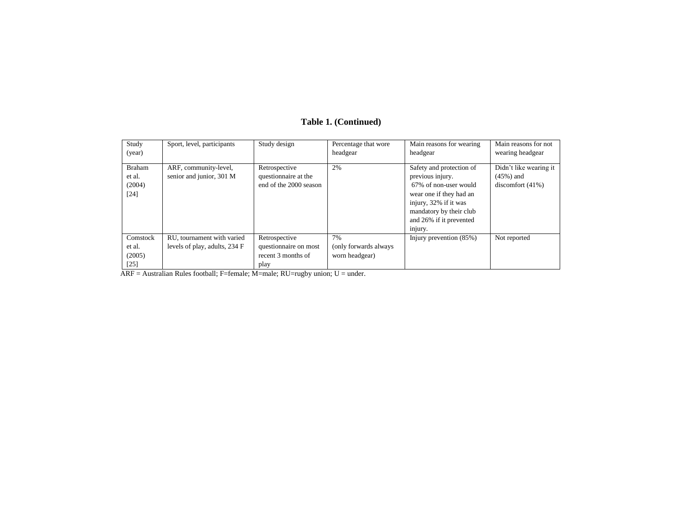| Study<br>(year)                             | Sport, level, participants                                  | Study design                                                         | Percentage that wore<br>headgear               | Main reasons for wearing<br>headgear                                                                                                                                                       | Main reasons for not<br>wearing headgear                      |
|---------------------------------------------|-------------------------------------------------------------|----------------------------------------------------------------------|------------------------------------------------|--------------------------------------------------------------------------------------------------------------------------------------------------------------------------------------------|---------------------------------------------------------------|
| <b>Braham</b><br>et al.<br>(2004)<br>$[24]$ | ARF, community-level,<br>senior and junior, 301 M           | Retrospective<br>questionnaire at the<br>end of the 2000 season      | 2%                                             | Safety and protection of<br>previous injury.<br>67% of non-user would<br>wear one if they had an<br>injury, 32% if it was<br>mandatory by their club<br>and 26% if it prevented<br>injury. | Didn't like wearing it<br>$(45\%)$ and<br>discomfort $(41\%)$ |
| Comstock<br>et al.<br>(2005)<br>$[25]$      | RU, tournament with varied<br>levels of play, adults, 234 F | Retrospective<br>questionnaire on most<br>recent 3 months of<br>play | 7%<br>(only forwards always)<br>worn headgear) | Injury prevention (85%)                                                                                                                                                                    | Not reported                                                  |

#### **Table 1. (Continued)**

ARF = Australian Rules football; F=female; M=male; RU=rugby union; U = under.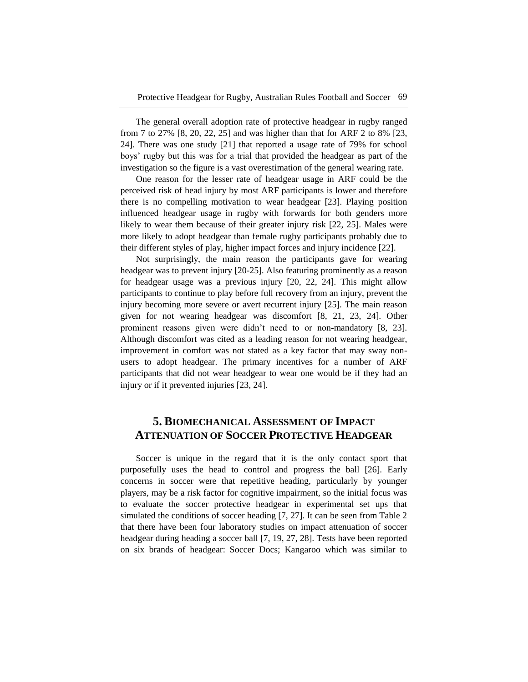The general overall adoption rate of protective headgear in rugby ranged from 7 to 27% [8, 20, 22, 25] and was higher than that for ARF 2 to 8% [23, 24]. There was one study [21] that reported a usage rate of 79% for school boys' rugby but this was for a trial that provided the headgear as part of the investigation so the figure is a vast overestimation of the general wearing rate.

One reason for the lesser rate of headgear usage in ARF could be the perceived risk of head injury by most ARF participants is lower and therefore there is no compelling motivation to wear headgear [23]. Playing position influenced headgear usage in rugby with forwards for both genders more likely to wear them because of their greater injury risk [22, 25]. Males were more likely to adopt headgear than female rugby participants probably due to their different styles of play, higher impact forces and injury incidence [22].

Not surprisingly, the main reason the participants gave for wearing headgear was to prevent injury [20-25]. Also featuring prominently as a reason for headgear usage was a previous injury [20, 22, 24]. This might allow participants to continue to play before full recovery from an injury, prevent the injury becoming more severe or avert recurrent injury [25]. The main reason given for not wearing headgear was discomfort [8, 21, 23, 24]. Other prominent reasons given were didn't need to or non-mandatory [8, 23]. Although discomfort was cited as a leading reason for not wearing headgear, improvement in comfort was not stated as a key factor that may sway nonusers to adopt headgear. The primary incentives for a number of ARF participants that did not wear headgear to wear one would be if they had an injury or if it prevented injuries [23, 24].

## **5. BIOMECHANICAL ASSESSMENT OF IMPACT ATTENUATION OF SOCCER PROTECTIVE HEADGEAR**

Soccer is unique in the regard that it is the only contact sport that purposefully uses the head to control and progress the ball [26]. Early concerns in soccer were that repetitive heading, particularly by younger players, may be a risk factor for cognitive impairment, so the initial focus was to evaluate the soccer protective headgear in experimental set ups that simulated the conditions of soccer heading [7, 27]. It can be seen from Table 2 that there have been four laboratory studies on impact attenuation of soccer headgear during heading a soccer ball [7, 19, 27, 28]. Tests have been reported on six brands of headgear: Soccer Docs; Kangaroo which was similar to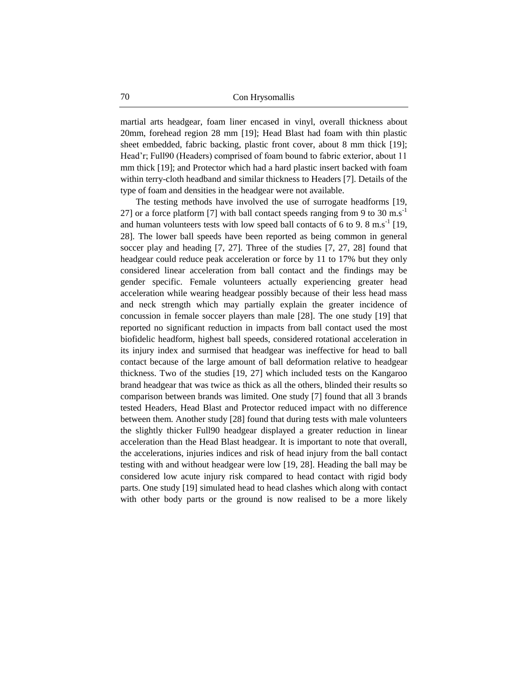martial arts headgear, foam liner encased in vinyl, overall thickness about 20mm, forehead region 28 mm [19]; Head Blast had foam with thin plastic sheet embedded, fabric backing, plastic front cover, about 8 mm thick [19]; Head'r; Full90 (Headers) comprised of foam bound to fabric exterior, about 11 mm thick [19]; and Protector which had a hard plastic insert backed with foam within terry-cloth headband and similar thickness to Headers [7]. Details of the type of foam and densities in the headgear were not available.

The testing methods have involved the use of surrogate headforms [19, 27] or a force platform [7] with ball contact speeds ranging from 9 to 30 m.s<sup>-1</sup> and human volunteers tests with low speed ball contacts of 6 to 9.  $8 \text{ m.s}^{-1}$  [19, 28]. The lower ball speeds have been reported as being common in general soccer play and heading [7, 27]. Three of the studies [7, 27, 28] found that headgear could reduce peak acceleration or force by 11 to 17% but they only considered linear acceleration from ball contact and the findings may be gender specific. Female volunteers actually experiencing greater head acceleration while wearing headgear possibly because of their less head mass and neck strength which may partially explain the greater incidence of concussion in female soccer players than male [28]. The one study [19] that reported no significant reduction in impacts from ball contact used the most biofidelic headform, highest ball speeds, considered rotational acceleration in its injury index and surmised that headgear was ineffective for head to ball contact because of the large amount of ball deformation relative to headgear thickness. Two of the studies [19, 27] which included tests on the Kangaroo brand headgear that was twice as thick as all the others, blinded their results so comparison between brands was limited. One study [7] found that all 3 brands tested Headers, Head Blast and Protector reduced impact with no difference between them. Another study [28] found that during tests with male volunteers the slightly thicker Full90 headgear displayed a greater reduction in linear acceleration than the Head Blast headgear. It is important to note that overall, the accelerations, injuries indices and risk of head injury from the ball contact testing with and without headgear were low [19, 28]. Heading the ball may be considered low acute injury risk compared to head contact with rigid body parts. One study [19] simulated head to head clashes which along with contact with other body parts or the ground is now realised to be a more likely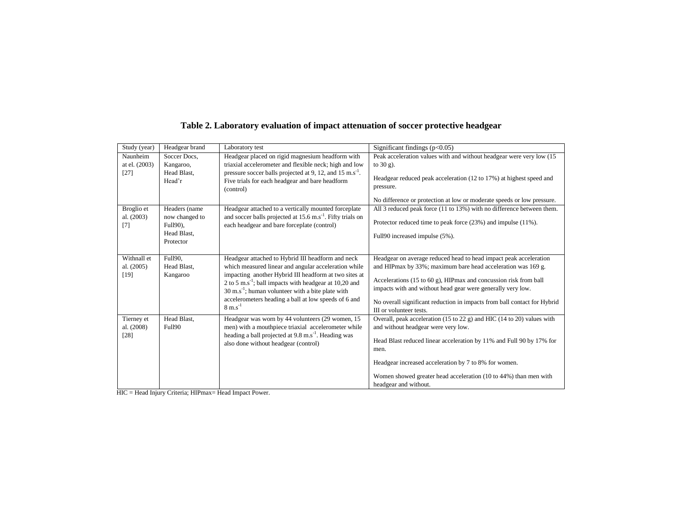| Study (year)             | Headgear brand             | Laboratory test                                                                                                                      | Significant findings $(p<0.05)$                                                                     |
|--------------------------|----------------------------|--------------------------------------------------------------------------------------------------------------------------------------|-----------------------------------------------------------------------------------------------------|
| Naunheim                 | Soccer Docs,               | Headgear placed on rigid magnesium headform with                                                                                     | Peak acceleration values with and without headgear were very low (15                                |
| at el. (2003)            | Kangaroo,                  | triaxial accelerometer and flexible neck; high and low                                                                               | to $30 g$ ).                                                                                        |
| $[27]$                   | Head Blast,<br>Head'r      | pressure soccer balls projected at 9, 12, and 15 m.s <sup>-1</sup> .<br>Five trials for each headgear and bare headform<br>(control) | Headgear reduced peak acceleration (12 to 17%) at highest speed and<br>pressure.                    |
|                          |                            |                                                                                                                                      | No difference or protection at low or moderate speeds or low pressure.                              |
| Broglio et               | Headers (name              | Headgear attached to a vertically mounted forceplate                                                                                 | All 3 reduced peak force (11 to 13%) with no difference between them.                               |
| al. (2003)<br>[7]        | now changed to<br>Full90), | and soccer balls projected at 15.6 m.s <sup>-1</sup> . Fifty trials on<br>each headgear and bare forceplate (control)                | Protector reduced time to peak force (23%) and impulse (11%).                                       |
|                          | Head Blast,<br>Protector   |                                                                                                                                      | Full90 increased impulse (5%).                                                                      |
|                          |                            |                                                                                                                                      |                                                                                                     |
| Withnall et              | Full90,                    | Headgear attached to Hybrid III headform and neck                                                                                    | Headgear on average reduced head to head impact peak acceleration                                   |
| al. (2005)               | Head Blast,                | which measured linear and angular acceleration while                                                                                 | and HIPmax by 33%; maximum bare head acceleration was 169 g.                                        |
| $[19]$                   | Kangaroo                   | impacting another Hybrid III headform at two sites at<br>2 to 5 m.s <sup>-1</sup> ; ball impacts with headgear at $10,20$ and        | Accelerations (15 to 60 g), HIPmax and concussion risk from ball                                    |
|                          |                            | $30 \text{ m.s}^{-1}$ ; human volunteer with a bite plate with                                                                       | impacts with and without head gear were generally very low.                                         |
|                          |                            | accelerometers heading a ball at low speeds of 6 and<br>$8 \text{ m.s}^{-1}$                                                         | No overall significant reduction in impacts from ball contact for Hybrid<br>III or volunteer tests. |
|                          | Head Blast,                | Headgear was worn by 44 volunteers (29 women, 15                                                                                     | Overall, peak acceleration (15 to 22 g) and HIC (14 to 20) values with                              |
| Tierney et<br>al. (2008) | <b>Full90</b>              | men) with a mouthpiece triaxial accelerometer while                                                                                  | and without headgear were very low.                                                                 |
| [28]                     |                            | heading a ball projected at 9.8 m.s <sup>-1</sup> . Heading was                                                                      |                                                                                                     |
|                          |                            | also done without headgear (control)                                                                                                 | Head Blast reduced linear acceleration by 11% and Full 90 by 17% for                                |
|                          |                            |                                                                                                                                      | men.                                                                                                |
|                          |                            |                                                                                                                                      | Headgear increased acceleration by 7 to 8% for women.                                               |
|                          |                            |                                                                                                                                      | Women showed greater head acceleration (10 to 44%) than men with<br>headgear and without.           |

## **Table 2. Laboratory evaluation of impact attenuation of soccer protective headgear**

HIC = Head Injury Criteria; HIPmax= Head Impact Power.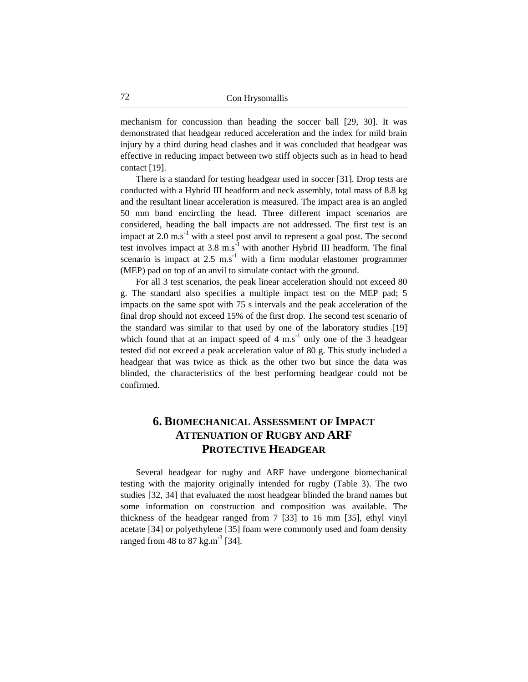mechanism for concussion than heading the soccer ball [29, 30]. It was demonstrated that headgear reduced acceleration and the index for mild brain injury by a third during head clashes and it was concluded that headgear was effective in reducing impact between two stiff objects such as in head to head contact [19].

There is a standard for testing headgear used in soccer [31]. Drop tests are conducted with a Hybrid III headform and neck assembly, total mass of 8.8 kg and the resultant linear acceleration is measured. The impact area is an angled 50 mm band encircling the head. Three different impact scenarios are considered, heading the ball impacts are not addressed. The first test is an impact at  $2.0 \text{ m.s}^{-1}$  with a steel post anvil to represent a goal post. The second test involves impact at  $3.8 \text{ m.s}^{-1}$  with another Hybrid III headform. The final scenario is impact at  $2.5 \text{ ms}^{-1}$  with a firm modular elastomer programmer (MEP) pad on top of an anvil to simulate contact with the ground.

For all 3 test scenarios, the peak linear acceleration should not exceed 80 g. The standard also specifies a multiple impact test on the MEP pad; 5 impacts on the same spot with 75 s intervals and the peak acceleration of the final drop should not exceed 15% of the first drop. The second test scenario of the standard was similar to that used by one of the laboratory studies [19] which found that at an impact speed of  $4 \text{ m.s}^{-1}$  only one of the 3 headgear tested did not exceed a peak acceleration value of 80 g. This study included a headgear that was twice as thick as the other two but since the data was blinded, the characteristics of the best performing headgear could not be confirmed.

## **6. BIOMECHANICAL ASSESSMENT OF IMPACT ATTENUATION OF RUGBY AND ARF PROTECTIVE HEADGEAR**

Several headgear for rugby and ARF have undergone biomechanical testing with the majority originally intended for rugby (Table 3). The two studies [32, 34] that evaluated the most headgear blinded the brand names but some information on construction and composition was available. The thickness of the headgear ranged from 7 [33] to 16 mm [35], ethyl vinyl acetate [34] or polyethylene [35] foam were commonly used and foam density ranged from 48 to 87 kg.m<sup>-3</sup> [34].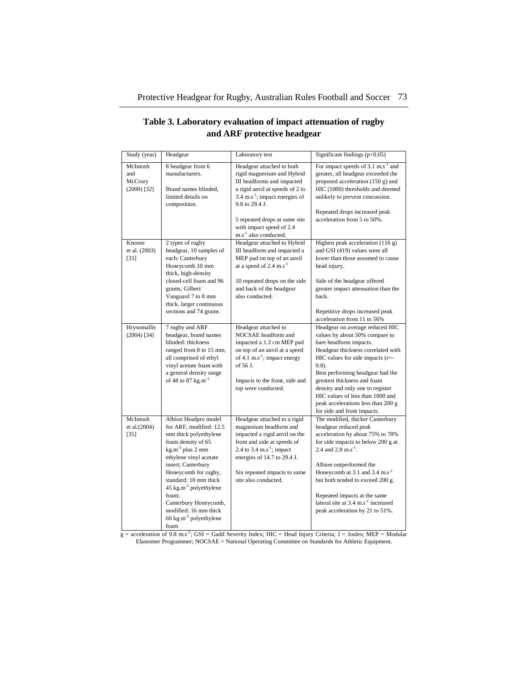| Study (year)                                | Headgear                                                                                                                                                                                                                                                                                                                                                              | Laboratory test                                                                                                                                                                                                                                                                            | Significant findings $(p<0.05)$                                                                                                                                                                                                                                                                                                                                                                           |
|---------------------------------------------|-----------------------------------------------------------------------------------------------------------------------------------------------------------------------------------------------------------------------------------------------------------------------------------------------------------------------------------------------------------------------|--------------------------------------------------------------------------------------------------------------------------------------------------------------------------------------------------------------------------------------------------------------------------------------------|-----------------------------------------------------------------------------------------------------------------------------------------------------------------------------------------------------------------------------------------------------------------------------------------------------------------------------------------------------------------------------------------------------------|
| McIntosh<br>and<br>McCrory<br>$(2000)$ [32] | 8 headgear from 6<br>manufacturers.<br>Brand names blinded,<br>limited details on<br>composition.                                                                                                                                                                                                                                                                     | Headgear attached to both<br>rigid magnesium and Hybrid<br>III headforms and impacted<br>a rigid anvil at speeds of 2 to<br>3.4 m.s <sup>-1</sup> ; impact energies of<br>9.8 to 29.4 J.<br>5 repeated drops at same site<br>with impact speed of 2.4<br>m.s <sup>-1</sup> also conducted. | For impact speeds of 3.1 m.s <sup>-1</sup> and<br>greater, all headgear exceeded the<br>proposed acceleration (150 g) and<br>HIC (1000) thresholds and deemed<br>unlikely to prevent concussion.<br>Repeated drops increased peak<br>acceleration from 5 to 50%.                                                                                                                                          |
| Knouse<br>et al. (2003)<br>[33]             | 2 types of rugby<br>headgear, 10 samples of<br>each: Canterbury<br>Honeycomb 10 mm<br>thick, high-density<br>closed-cell foam and 96<br>grams; Gilbert<br>Vanguard 7 to 8 mm<br>thick, larger continuous<br>sections and 74 grams                                                                                                                                     | Headgear attached to Hybrid<br>III headform and impacted a<br>MEP pad on top of an anvil<br>at a speed of $2.4 \text{ m.s}^{-1}$<br>10 repeated drops on the side<br>and back of the headgear<br>also conducted.                                                                           | Highest peak acceleration (116 g)<br>and GSI (419) values were all<br>lower than those assumed to cause<br>head injury.<br>Side of the headgear offered<br>greater impact attenuation than the<br>back.<br>Repetitive drops increased peak<br>acceleration from 11 to 56%                                                                                                                                 |
| Hrysomallis<br>$(2004)$ [34]                | 7 rugby and ARF<br>headgear, brand names<br>blinded: thickness<br>ranged from 8 to 15 mm,<br>all comprised of ethyl<br>vinyl acetate foam with<br>a general density range<br>of 48 to 87 kg.m <sup>-3</sup>                                                                                                                                                           | Headgear attached to<br>NOCSAE headform and<br>impacted a 1.3 cm MEP pad<br>on top of an anvil at a speed<br>of 4.1 $\text{m.s}^{-1}$ ; impact energy<br>of $56$ J.<br>Impacts to the front, side and<br>top were conducted.                                                               | Headgear on average reduced HIC<br>values by about 50% compare to<br>bare headform impacts.<br>Headgear thickness correlated with<br>HIC values for side impacts (r=-<br>$(0.8)$ .<br>Best performing headgear had the<br>greatest thickness and foam<br>density and only one to register<br>HIC values of less than 1000 and<br>peak accelerations less than 200 g<br>for side and front impacts.        |
| McIntosh<br>et al.(2004)<br>$[35]$          | Albion Headpro model<br>for ARF, modified: 12.5<br>mm thick polyethylene<br>foam density of 65<br>$kg.m^{-3}$ plus 2 mm<br>ethylene vinyl acetate<br>insert; Canterbury<br>Honeycomb for rugby,<br>standard: 10 mm thick<br>45 kg.m <sup>-3</sup> polyethylene<br>foam;<br>Canterbury Honeycomb,<br>modified: 16 mm thick<br>$60 \text{ kg.m}^3$ polyethylene<br>foam | Headgear attached to a rigid<br>magnesium headform and<br>impacted a rigid anvil on the<br>front and side at speeds of<br>2.4 to 3.4 $\text{m.s}^{-1}$ ; impact<br>energies of 14.7 to 29.4 J.<br>Six repeated impacts to same<br>site also conducted.                                     | The modified, thicker Canterbury<br>headgear reduced peak<br>acceleration by about 75% to 78%<br>for side impacts to below 200 g at<br>2.4 and 2.8 m.s <sup>-1</sup> .<br>Albion outperformed the<br>Honeycomb at 3.1 and 3.4 m.s <sup>-1</sup><br>but both tended to exceed 200 g.<br>Repeated impacts at the same<br>lateral site at 3.4 m.s <sup>-1</sup> increased<br>peak acceleration by 21 to 51%. |

## **Table 3. Laboratory evaluation of impact attenuation of rugby and ARF protective headgear**

 $g =$  acceleration of 9.8 m.s<sup>-2</sup>; GSI = Gadd Severity Index; HIC = Head Injury Criteria; J = Joules; MEP = Modular Elastomer Programmer; NOCSAE = National Operating Committee on Standards for Athletic Equipment.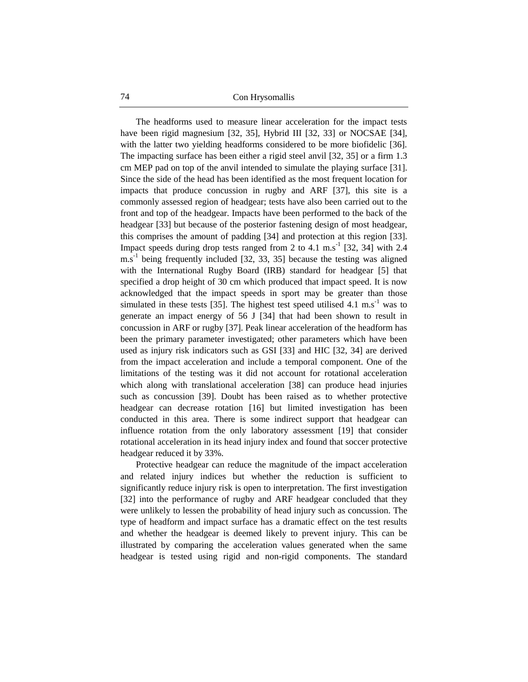74 Con Hrysomallis

The headforms used to measure linear acceleration for the impact tests have been rigid magnesium [32, 35], Hybrid III [32, 33] or NOCSAE [34], with the latter two yielding headforms considered to be more biofidelic [36]. The impacting surface has been either a rigid steel anvil [32, 35] or a firm 1.3 cm MEP pad on top of the anvil intended to simulate the playing surface [31]. Since the side of the head has been identified as the most frequent location for impacts that produce concussion in rugby and ARF [37], this site is a commonly assessed region of headgear; tests have also been carried out to the front and top of the headgear. Impacts have been performed to the back of the headgear [33] but because of the posterior fastening design of most headgear, this comprises the amount of padding [34] and protection at this region [33]. Impact speeds during drop tests ranged from 2 to 4.1 m.s<sup>-1</sup> [32, 34] with 2.4  $\text{m.s}^{-1}$  being frequently included [32, 33, 35] because the testing was aligned with the International Rugby Board (IRB) standard for headgear [5] that specified a drop height of 30 cm which produced that impact speed. It is now acknowledged that the impact speeds in sport may be greater than those simulated in these tests [35]. The highest test speed utilised 4.1 m.s<sup>-1</sup> was to generate an impact energy of 56 J [34] that had been shown to result in concussion in ARF or rugby [37]. Peak linear acceleration of the headform has been the primary parameter investigated; other parameters which have been used as injury risk indicators such as GSI [33] and HIC [32, 34] are derived from the impact acceleration and include a temporal component. One of the limitations of the testing was it did not account for rotational acceleration which along with translational acceleration [38] can produce head injuries such as concussion [39]. Doubt has been raised as to whether protective headgear can decrease rotation [16] but limited investigation has been conducted in this area. There is some indirect support that headgear can influence rotation from the only laboratory assessment [19] that consider rotational acceleration in its head injury index and found that soccer protective headgear reduced it by 33%.

Protective headgear can reduce the magnitude of the impact acceleration and related injury indices but whether the reduction is sufficient to significantly reduce injury risk is open to interpretation. The first investigation [32] into the performance of rugby and ARF headgear concluded that they were unlikely to lessen the probability of head injury such as concussion. The type of headform and impact surface has a dramatic effect on the test results and whether the headgear is deemed likely to prevent injury. This can be illustrated by comparing the acceleration values generated when the same headgear is tested using rigid and non-rigid components. The standard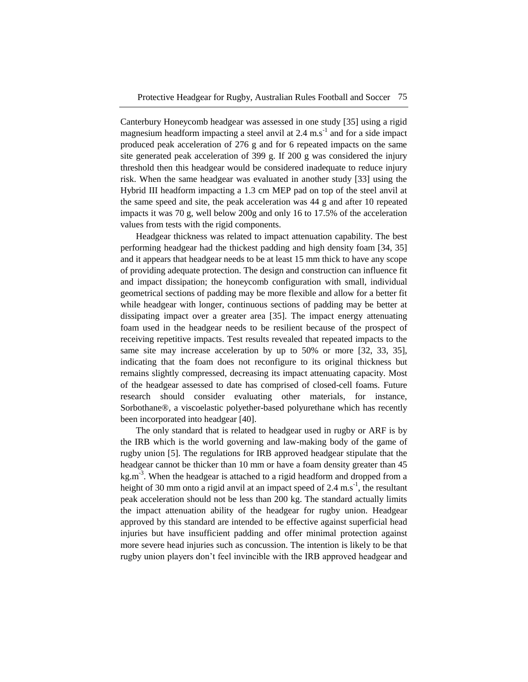Canterbury Honeycomb headgear was assessed in one study [35] using a rigid magnesium headform impacting a steel anvil at  $2.4 \text{ m.s}^{-1}$  and for a side impact produced peak acceleration of 276 g and for 6 repeated impacts on the same site generated peak acceleration of 399 g. If 200 g was considered the injury threshold then this headgear would be considered inadequate to reduce injury risk. When the same headgear was evaluated in another study [33] using the Hybrid III headform impacting a 1.3 cm MEP pad on top of the steel anvil at the same speed and site, the peak acceleration was 44 g and after 10 repeated impacts it was 70 g, well below 200g and only 16 to 17.5% of the acceleration values from tests with the rigid components.

Headgear thickness was related to impact attenuation capability. The best performing headgear had the thickest padding and high density foam [34, 35] and it appears that headgear needs to be at least 15 mm thick to have any scope of providing adequate protection. The design and construction can influence fit and impact dissipation; the honeycomb configuration with small, individual geometrical sections of padding may be more flexible and allow for a better fit while headgear with longer, continuous sections of padding may be better at dissipating impact over a greater area [35]. The impact energy attenuating foam used in the headgear needs to be resilient because of the prospect of receiving repetitive impacts. Test results revealed that repeated impacts to the same site may increase acceleration by up to 50% or more [32, 33, 35], indicating that the foam does not reconfigure to its original thickness but remains slightly compressed, decreasing its impact attenuating capacity. Most of the headgear assessed to date has comprised of closed-cell foams. Future research should consider evaluating other materials, for instance, Sorbothane®, a viscoelastic polyether-based polyurethane which has recently been incorporated into headgear [40].

The only standard that is related to headgear used in rugby or ARF is by the IRB which is the world governing and law-making body of the game of rugby union [5]. The regulations for IRB approved headgear stipulate that the headgear cannot be thicker than 10 mm or have a foam density greater than 45  $kg.m<sup>-3</sup>$ . When the headgear is attached to a rigid headform and dropped from a height of 30 mm onto a rigid anvil at an impact speed of 2.4 m.s<sup>-1</sup>, the resultant peak acceleration should not be less than 200 kg. The standard actually limits the impact attenuation ability of the headgear for rugby union. Headgear approved by this standard are intended to be effective against superficial head injuries but have insufficient padding and offer minimal protection against more severe head injuries such as concussion. The intention is likely to be that rugby union players don't feel invincible with the IRB approved headgear and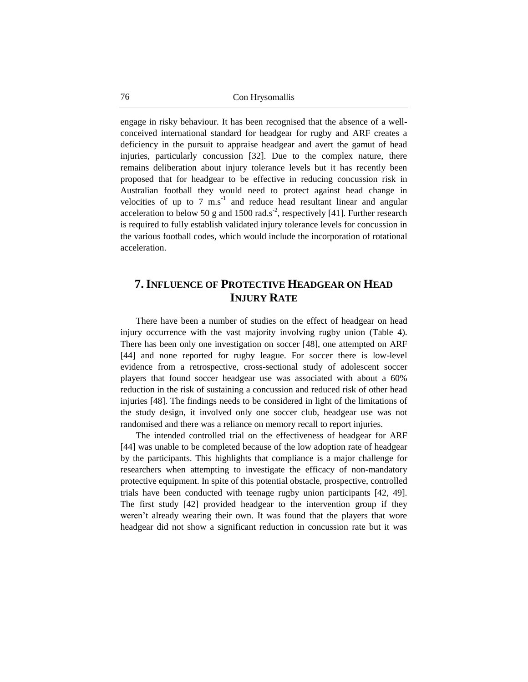engage in risky behaviour. It has been recognised that the absence of a wellconceived international standard for headgear for rugby and ARF creates a deficiency in the pursuit to appraise headgear and avert the gamut of head injuries, particularly concussion [32]. Due to the complex nature, there remains deliberation about injury tolerance levels but it has recently been proposed that for headgear to be effective in reducing concussion risk in Australian football they would need to protect against head change in velocities of up to  $7 \text{ m.s}^{-1}$  and reduce head resultant linear and angular acceleration to below 50 g and 1500 rad.s<sup>-2</sup>, respectively [41]. Further research is required to fully establish validated injury tolerance levels for concussion in the various football codes, which would include the incorporation of rotational acceleration.

## **7.INFLUENCE OF PROTECTIVE HEADGEAR ON HEAD INJURY RATE**

There have been a number of studies on the effect of headgear on head injury occurrence with the vast majority involving rugby union (Table 4). There has been only one investigation on soccer [48], one attempted on ARF [44] and none reported for rugby league. For soccer there is low-level evidence from a retrospective, cross-sectional study of adolescent soccer players that found soccer headgear use was associated with about a 60% reduction in the risk of sustaining a concussion and reduced risk of other head injuries [48]. The findings needs to be considered in light of the limitations of the study design, it involved only one soccer club, headgear use was not randomised and there was a reliance on memory recall to report injuries.

The intended controlled trial on the effectiveness of headgear for ARF [44] was unable to be completed because of the low adoption rate of headgear by the participants. This highlights that compliance is a major challenge for researchers when attempting to investigate the efficacy of non-mandatory protective equipment. In spite of this potential obstacle, prospective, controlled trials have been conducted with teenage rugby union participants [42, 49]. The first study [42] provided headgear to the intervention group if they weren't already wearing their own. It was found that the players that wore headgear did not show a significant reduction in concussion rate but it was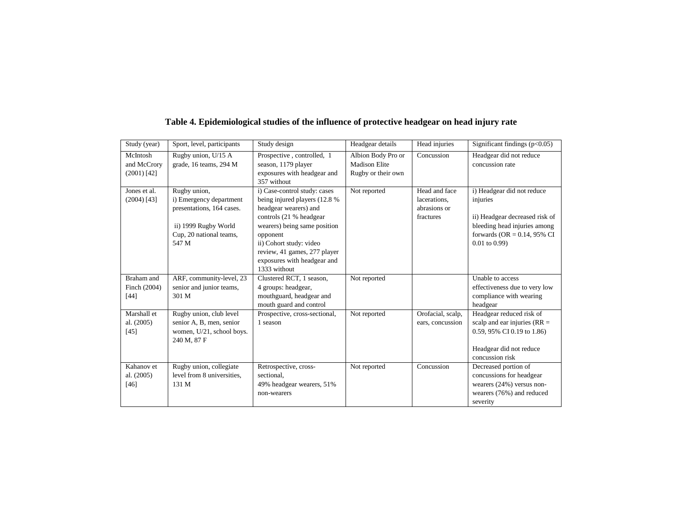| Study (year)  | Sport, level, participants | Study design                  | Headgear details                           | Head injuries     | Significant findings $(p<0.05)$ |
|---------------|----------------------------|-------------------------------|--------------------------------------------|-------------------|---------------------------------|
| McIntosh      | Rugby union, U/15 A        | Prospective, controlled, 1    | Albion Body Pro or<br><b>Madison Elite</b> | Concussion        | Headgear did not reduce         |
| and McCrory   | grade, 16 teams, 294 M     | season, 1179 player           |                                            |                   | concussion rate                 |
| $(2001)$ [42] |                            | exposures with headgear and   | Rugby or their own                         |                   |                                 |
|               |                            | 357 without                   |                                            |                   |                                 |
| Jones et al.  | Rugby union,               | i) Case-control study: cases  | Not reported                               | Head and face     | i) Headgear did not reduce      |
| $(2004)$ [43] | i) Emergency department    | being injured players (12.8 % |                                            | lacerations,      | injuries                        |
|               | presentations, 164 cases.  | headgear wearers) and         |                                            | abrasions or      |                                 |
|               |                            | controls (21 % headgear       |                                            | fractures         | ii) Headgear decreased risk of  |
|               | ii) 1999 Rugby World       | wearers) being same position  |                                            |                   | bleeding head injuries among    |
|               | Cup, 20 national teams,    | opponent                      |                                            |                   | forwards ( $OR = 0.14$ , 95% CI |
|               | 547 M                      | ii) Cohort study: video       |                                            |                   | $0.01$ to $0.99$ )              |
|               |                            | review, 41 games, 277 player  |                                            |                   |                                 |
|               |                            | exposures with headgear and   |                                            |                   |                                 |
|               |                            | 1333 without                  |                                            |                   |                                 |
| Braham and    | ARF, community-level, 23   | Clustered RCT, 1 season,      | Not reported                               |                   | Unable to access                |
| Finch (2004)  | senior and junior teams,   | 4 groups: headgear,           |                                            |                   | effectiveness due to very low   |
| [44]          | 301 M                      | mouthguard, headgear and      |                                            |                   | compliance with wearing         |
|               |                            | mouth guard and control       |                                            |                   | headgear                        |
| Marshall et   | Rugby union, club level    | Prospective, cross-sectional, | Not reported                               | Orofacial, scalp, | Headgear reduced risk of        |
| al. (2005)    | senior A, B, men, senior   | 1 season                      |                                            | ears, concussion  | scalp and ear injuries ( $RR =$ |
| [45]          | women, U/21, school boys.  |                               |                                            |                   | 0.59, 95% CI 0.19 to 1.86)      |
|               | 240 M, 87 F                |                               |                                            |                   |                                 |
|               |                            |                               |                                            |                   | Headgear did not reduce         |
|               |                            |                               |                                            |                   | concussion risk                 |
| Kahanov et    | Rugby union, collegiate    | Retrospective, cross-         | Not reported                               | Concussion        | Decreased portion of            |
| al. $(2005)$  | level from 8 universities. | sectional.                    |                                            |                   | concussions for headgear        |
| $[46]$        | 131 M                      | 49% headgear wearers, 51%     |                                            |                   | wearers $(24%)$ versus non-     |
|               |                            | non-wearers                   |                                            |                   | wearers (76%) and reduced       |
|               |                            |                               |                                            |                   | severity                        |

## **Table 4. Epidemiological studies of the influence of protective headgear on head injury rate**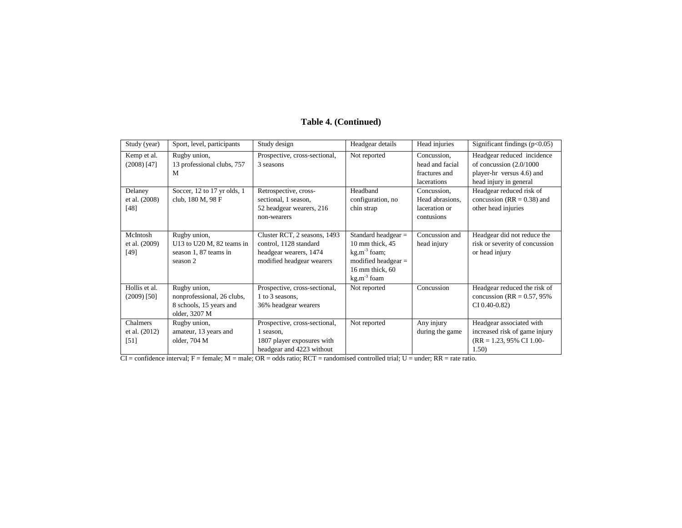#### Study (year) Sport, level, participants Study design Headgear details Head injuries Significant findings (p<0.05) Kemp et al. (2008) [47] Rugby union, 13 professional clubs, 757 M Prospective, cross-sectional, 3 seasons Not reported Concussion, head and facial fractures and lacerations Headgear reduced incidence of concussion (2.0/1000 player-hr versus 4.6) and head injury in general Delaney et al. (2008) [48] Soccer, 12 to 17 yr olds, 1 club, 180 M, 98 F Retrospective, crosssectional, 1 season, 52 headgear wearers, 216 non-wearers Headband configuration, no chin strap Concussion, Head abrasions, laceration or contusions Headgear reduced risk of concussion ( $RR = 0.38$ ) and other head injuries McIntosh et al. (2009) [49] Rugby union, U13 to U20 M, 82 teams in season 1, 87 teams in season 2 Cluster RCT, 2 seasons, 1493 control, 1128 standard headgear wearers, 1474 modified headgear wearers Standard headgear = 10 mm thick, 45 kg.m-3 foam; modified headgear = 16 mm thick, 60 kg.m<sup>-3</sup> foam Concussion and head injury Headgear did not reduce the risk or severity of concussion or head injury Hollis et al. (2009) [50] Rugby union, nonprofessional, 26 clubs, 8 schools, 15 years and older, 3207 M Prospective, cross-sectional, 1 to 3 seasons, 36% headgear wearers Not reported Concussion Headgear reduced the risk of concussion ( $RR = 0.57, 95\%$ ) CI 0.40-0.82) Chalmers et al. (2012) [51] Rugby union, amateur, 13 years and older, 704 M Prospective, cross-sectional, 1 season, 1807 player exposures with Not reported Any injury during the game Headgear associated with increased risk of game injury (RR = 1.23, 95% CI 1.00-

1.50)

#### **Table 4. (Continued)**

headgear and 4223 without  $CI =$  confidence interval;  $F =$  female;  $M =$  male;  $OR =$  odds ratio;  $RCT =$  randomised controlled trial;  $U =$  under;  $RR =$  rate ratio.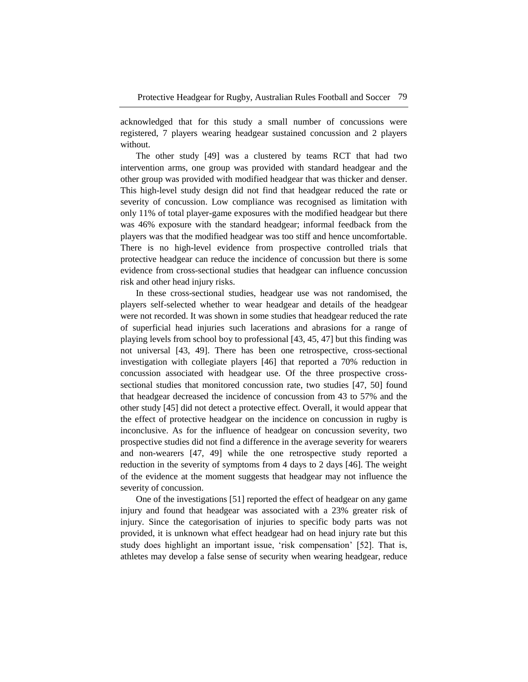acknowledged that for this study a small number of concussions were registered, 7 players wearing headgear sustained concussion and 2 players without.

The other study [49] was a clustered by teams RCT that had two intervention arms, one group was provided with standard headgear and the other group was provided with modified headgear that was thicker and denser. This high-level study design did not find that headgear reduced the rate or severity of concussion. Low compliance was recognised as limitation with only 11% of total player-game exposures with the modified headgear but there was 46% exposure with the standard headgear; informal feedback from the players was that the modified headgear was too stiff and hence uncomfortable. There is no high-level evidence from prospective controlled trials that protective headgear can reduce the incidence of concussion but there is some evidence from cross-sectional studies that headgear can influence concussion risk and other head injury risks.

In these cross-sectional studies, headgear use was not randomised, the players self-selected whether to wear headgear and details of the headgear were not recorded. It was shown in some studies that headgear reduced the rate of superficial head injuries such lacerations and abrasions for a range of playing levels from school boy to professional [43, 45, 47] but this finding was not universal [43, 49]. There has been one retrospective, cross-sectional investigation with collegiate players [46] that reported a 70% reduction in concussion associated with headgear use. Of the three prospective crosssectional studies that monitored concussion rate, two studies [47, 50] found that headgear decreased the incidence of concussion from 43 to 57% and the other study [45] did not detect a protective effect. Overall, it would appear that the effect of protective headgear on the incidence on concussion in rugby is inconclusive. As for the influence of headgear on concussion severity, two prospective studies did not find a difference in the average severity for wearers and non-wearers [47, 49] while the one retrospective study reported a reduction in the severity of symptoms from 4 days to 2 days [46]. The weight of the evidence at the moment suggests that headgear may not influence the severity of concussion.

One of the investigations [51] reported the effect of headgear on any game injury and found that headgear was associated with a 23% greater risk of injury. Since the categorisation of injuries to specific body parts was not provided, it is unknown what effect headgear had on head injury rate but this study does highlight an important issue, 'risk compensation' [52]. That is, athletes may develop a false sense of security when wearing headgear, reduce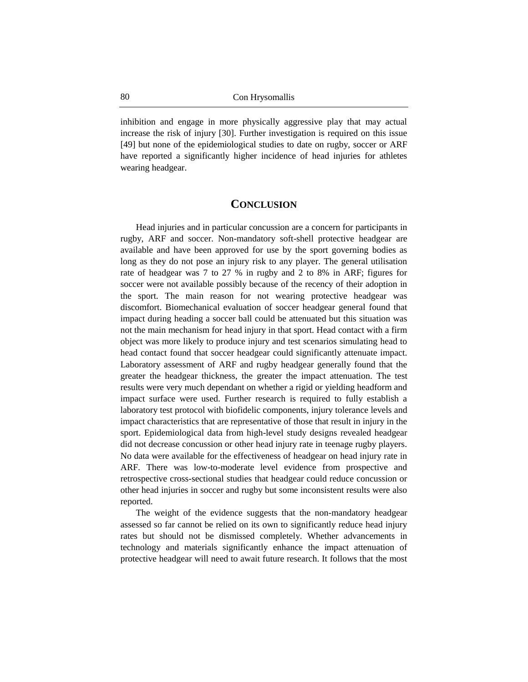inhibition and engage in more physically aggressive play that may actual increase the risk of injury [30]. Further investigation is required on this issue [49] but none of the epidemiological studies to date on rugby, soccer or ARF have reported a significantly higher incidence of head injuries for athletes wearing headgear.

#### **CONCLUSION**

Head injuries and in particular concussion are a concern for participants in rugby, ARF and soccer. Non-mandatory soft-shell protective headgear are available and have been approved for use by the sport governing bodies as long as they do not pose an injury risk to any player. The general utilisation rate of headgear was 7 to 27 % in rugby and 2 to 8% in ARF; figures for soccer were not available possibly because of the recency of their adoption in the sport. The main reason for not wearing protective headgear was discomfort. Biomechanical evaluation of soccer headgear general found that impact during heading a soccer ball could be attenuated but this situation was not the main mechanism for head injury in that sport. Head contact with a firm object was more likely to produce injury and test scenarios simulating head to head contact found that soccer headgear could significantly attenuate impact. Laboratory assessment of ARF and rugby headgear generally found that the greater the headgear thickness, the greater the impact attenuation. The test results were very much dependant on whether a rigid or yielding headform and impact surface were used. Further research is required to fully establish a laboratory test protocol with biofidelic components, injury tolerance levels and impact characteristics that are representative of those that result in injury in the sport. Epidemiological data from high-level study designs revealed headgear did not decrease concussion or other head injury rate in teenage rugby players. No data were available for the effectiveness of headgear on head injury rate in ARF. There was low-to-moderate level evidence from prospective and retrospective cross-sectional studies that headgear could reduce concussion or other head injuries in soccer and rugby but some inconsistent results were also reported.

The weight of the evidence suggests that the non-mandatory headgear assessed so far cannot be relied on its own to significantly reduce head injury rates but should not be dismissed completely. Whether advancements in technology and materials significantly enhance the impact attenuation of protective headgear will need to await future research. It follows that the most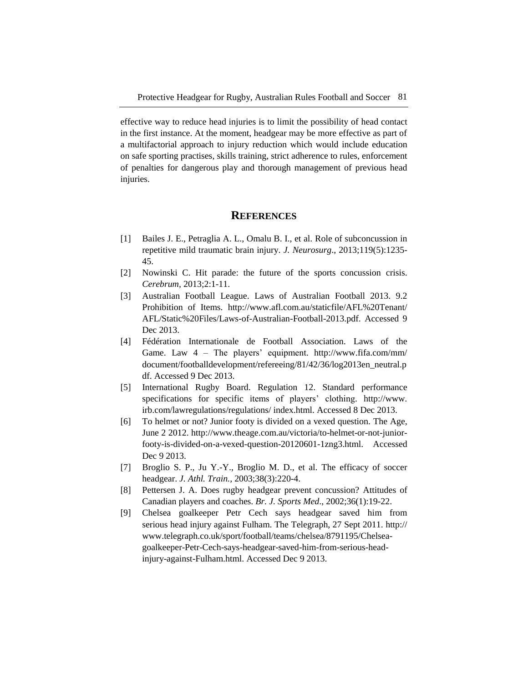effective way to reduce head injuries is to limit the possibility of head contact in the first instance. At the moment, headgear may be more effective as part of a multifactorial approach to injury reduction which would include education on safe sporting practises, skills training, strict adherence to rules, enforcement of penalties for dangerous play and thorough management of previous head injuries.

#### **REFERENCES**

- [1] Bailes J. E., Petraglia A. L., Omalu B. I., et al. Role of subconcussion in repetitive mild traumatic brain injury. *J. Neurosurg*., 2013;119(5):1235- 45.
- [2] Nowinski C. Hit parade: the future of the sports concussion crisis. *Cerebrum,* 2013;2:1-11.
- [3] Australian Football League. Laws of Australian Football 2013. 9.2 Prohibition of Items. http://www.afl.com.au/staticfile/AFL%20Tenant/ AFL/Static%20Files/Laws-of-Australian-Football-2013.pdf. Accessed 9 Dec 2013.
- [4] Fédération Internationale de Football Association. Laws of the Game. Law 4 – The players' equipment. http://www.fifa.com/mm/ document/footballdevelopment/refereeing/81/42/36/log2013en\_neutral.p df. Accessed 9 Dec 2013.
- [5] International Rugby Board. Regulation 12. Standard performance specifications for specific items of players' clothing. http://www. irb.com/lawregulations/regulations/ index.html. Accessed 8 Dec 2013.
- [6] To helmet or not? Junior footy is divided on a vexed question. The Age, June 2 2012. http://www.theage.com.au/victoria/to-helmet-or-not-juniorfooty-is-divided-on-a-vexed-question-20120601-1zng3.html. Accessed Dec 9 2013.
- [7] Broglio S. P., Ju Y.-Y., Broglio M. D., et al. The efficacy of soccer headgear. *J. Athl. Train.,* 2003;38(3):220-4.
- [8] Pettersen J. A. Does rugby headgear prevent concussion? Attitudes of Canadian players and coaches. *Br. J. Sports Med*., 2002;36(1):19-22.
- [9] Chelsea goalkeeper Petr Cech says headgear saved him from serious head injury against Fulham. The Telegraph, 27 Sept 2011. http:// www.telegraph.co.uk/sport/football/teams/chelsea/8791195/Chelseagoalkeeper-Petr-Cech-says-headgear-saved-him-from-serious-headinjury-against-Fulham.html. Accessed Dec 9 2013.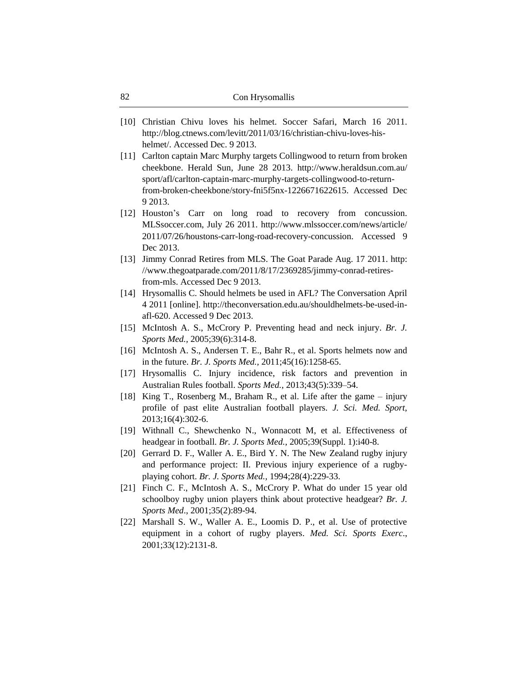- [10] Christian Chivu loves his helmet. Soccer Safari, March 16 2011. http://blog.ctnews.com/levitt/2011/03/16/christian-chivu-loves-hishelmet/. Accessed Dec. 9 2013.
- [11] Carlton captain Marc Murphy targets Collingwood to return from broken cheekbone. Herald Sun, June 28 2013. http://www.heraldsun.com.au/ sport/afl/carlton-captain-marc-murphy-targets-collingwood-to-returnfrom-broken-cheekbone/story-fni5f5nx-1226671622615. Accessed Dec 9 2013.
- [12] Houston's Carr on long road to recovery from concussion. MLSsoccer.com, July 26 2011. http://www.mlssoccer.com/news/article/ 2011/07/26/houstons-carr-long-road-recovery-concussion. Accessed 9 Dec 2013.
- [13] Jimmy Conrad Retires from MLS. The Goat Parade Aug. 17 2011. http: //www.thegoatparade.com/2011/8/17/2369285/jimmy-conrad-retiresfrom-mls. Accessed Dec 9 2013.
- [14] Hrysomallis C. Should helmets be used in AFL? The Conversation April 4 2011 [online]. http://theconversation.edu.au/shouldhelmets-be-used-inafl-620. Accessed 9 Dec 2013.
- [15] McIntosh A. S., McCrory P. Preventing head and neck injury. *Br. J. Sports Med.,* 2005;39(6):314-8.
- [16] McIntosh A. S., Andersen T. E., Bahr R., et al. Sports helmets now and in the future. *Br. J. Sports Med.,* 2011;45(16):1258-65.
- [17] Hrysomallis C. Injury incidence, risk factors and prevention in Australian Rules football. *Sports Med.,* 2013;43(5):339–54.
- [18] King T., Rosenberg M., Braham R., et al. Life after the game injury profile of past elite Australian football players. *J. Sci. Med. Sport*, 2013;16(4):302-6.
- [19] Withnall C., Shewchenko N., Wonnacott M, et al. Effectiveness of headgear in football. *Br. J. Sports Med.*, 2005;39(Suppl. 1):i40-8.
- [20] Gerrard D. F., Waller A. E., Bird Y. N. The New Zealand rugby injury and performance project: II. Previous injury experience of a rugbyplaying cohort. *Br. J. Sports Med.,* 1994;28(4):229-33.
- [21] Finch C. F., McIntosh A. S., McCrory P. What do under 15 year old schoolboy rugby union players think about protective headgear? *Br. J. Sports Med*., 2001;35(2):89-94.
- [22] Marshall S. W., Waller A. E., Loomis D. P., et al. Use of protective equipment in a cohort of rugby players. *Med. Sci. Sports Exerc*., 2001;33(12):2131-8.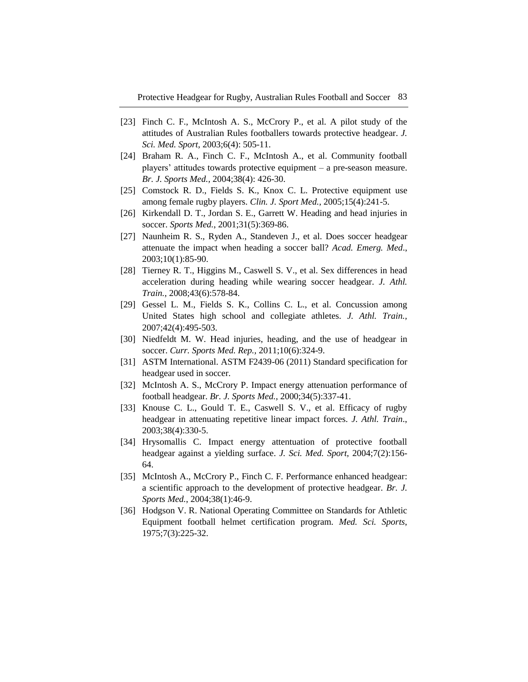- [23] Finch C. F., McIntosh A. S., McCrory P., et al. A pilot study of the attitudes of Australian Rules footballers towards protective headgear. *J. Sci. Med. Sport,* 2003;6(4): 505-11.
- [24] Braham R. A., Finch C. F., McIntosh A., et al. Community football players' attitudes towards protective equipment – a pre-season measure. *Br. J. Sports Med.,* 2004;38(4): 426-30.
- [25] Comstock R. D., Fields S. K., Knox C. L. Protective equipment use among female rugby players. *Clin. J. Sport Med.,* 2005;15(4):241-5.
- [26] Kirkendall D. T., Jordan S. E., Garrett W. Heading and head injuries in soccer. *Sports Med.*, 2001;31(5):369-86.
- [27] Naunheim R. S., Ryden A., Standeven J., et al. Does soccer headgear attenuate the impact when heading a soccer ball? *Acad. Emerg. Med*., 2003;10(1):85-90.
- [28] Tierney R. T., Higgins M., Caswell S. V., et al. Sex differences in head acceleration during heading while wearing soccer headgear. *J. Athl. Train.,* 2008;43(6):578-84.
- [29] Gessel L. M., Fields S. K., Collins C. L., et al. Concussion among United States high school and collegiate athletes. *J. Athl. Train.,* 2007;42(4):495-503.
- [30] Niedfeldt M. W. Head injuries, heading, and the use of headgear in soccer. *Curr. Sports Med. Rep.,* 2011;10(6):324-9.
- [31] ASTM International. ASTM F2439-06 (2011) Standard specification for headgear used in soccer.
- [32] McIntosh A. S., McCrory P. Impact energy attenuation performance of football headgear. *Br. J. Sports Med.,* 2000;34(5):337-41.
- [33] Knouse C. L., Gould T. E., Caswell S. V., et al. Efficacy of rugby headgear in attenuating repetitive linear impact forces. *J. Athl. Train*., 2003;38(4):330-5.
- [34] Hrysomallis C. Impact energy attentuation of protective football headgear against a yielding surface. *J. Sci. Med. Sport,* 2004;7(2):156- 64.
- [35] McIntosh A., McCrory P., Finch C. F. Performance enhanced headgear: a scientific approach to the development of protective headgear. *Br. J. Sports Med.*, 2004;38(1):46-9.
- [36] Hodgson V. R. National Operating Committee on Standards for Athletic Equipment football helmet certification program. *Med. Sci. Sports*, 1975;7(3):225-32.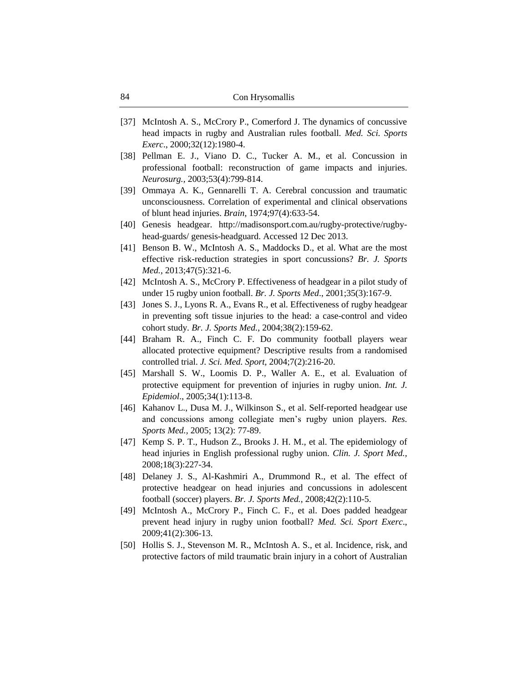| Con Hrysomallis |
|-----------------|
|                 |

- [37] McIntosh A. S., McCrory P., Comerford J. The dynamics of concussive head impacts in rugby and Australian rules football. *Med. Sci. Sports Exerc*., 2000;32(12):1980-4.
- [38] Pellman E. J., Viano D. C., Tucker A. M., et al. Concussion in professional football: reconstruction of game impacts and injuries. *Neurosurg.,* 2003;53(4):799-814.
- [39] Ommaya A. K., Gennarelli T. A. Cerebral concussion and traumatic unconsciousness. Correlation of experimental and clinical observations of blunt head injuries. *Brain,* 1974;97(4):633-54.
- [40] Genesis headgear. http://madisonsport.com.au/rugby-protective/rugbyhead-guards/ genesis-headguard. Accessed 12 Dec 2013.
- [41] Benson B. W., McIntosh A. S., Maddocks D., et al. What are the most effective risk-reduction strategies in sport concussions? *Br. J. Sports Med.,* 2013;47(5):321-6.
- [42] McIntosh A. S., McCrory P. Effectiveness of headgear in a pilot study of under 15 rugby union football. *Br. J. Sports Med*., 2001;35(3):167-9.
- [43] Jones S. J., Lyons R. A., Evans R., et al. Effectiveness of rugby headgear in preventing soft tissue injuries to the head: a case-control and video cohort study. *Br. J. Sports Med.*, 2004;38(2):159-62.
- [44] Braham R. A., Finch C. F. Do community football players wear allocated protective equipment? Descriptive results from a randomised controlled trial. *J. Sci. Med. Sport,* 2004;7(2):216-20.
- [45] Marshall S. W., Loomis D. P., Waller A. E., et al. Evaluation of protective equipment for prevention of injuries in rugby union. *Int. J. Epidemiol*., 2005;34(1):113-8.
- [46] Kahanov L., Dusa M. J., Wilkinson S., et al. Self-reported headgear use and concussions among collegiate men's rugby union players. *Res. Sports Med.,* 2005; 13(2): 77-89.
- [47] Kemp S. P. T., Hudson Z., Brooks J. H. M., et al. The epidemiology of head injuries in English professional rugby union. *Clin. J. Sport Med.,* 2008;18(3):227-34.
- [48] Delaney J. S., Al-Kashmiri A., Drummond R., et al. The effect of protective headgear on head injuries and concussions in adolescent football (soccer) players. *Br. J. Sports Med.,* 2008;42(2):110-5.
- [49] McIntosh A., McCrory P., Finch C. F., et al. Does padded headgear prevent head injury in rugby union football? *Med. Sci. Sport Exerc*., 2009;41(2):306-13.
- [50] Hollis S. J., Stevenson M. R., McIntosh A. S., et al. Incidence, risk, and protective factors of mild traumatic brain injury in a cohort of Australian